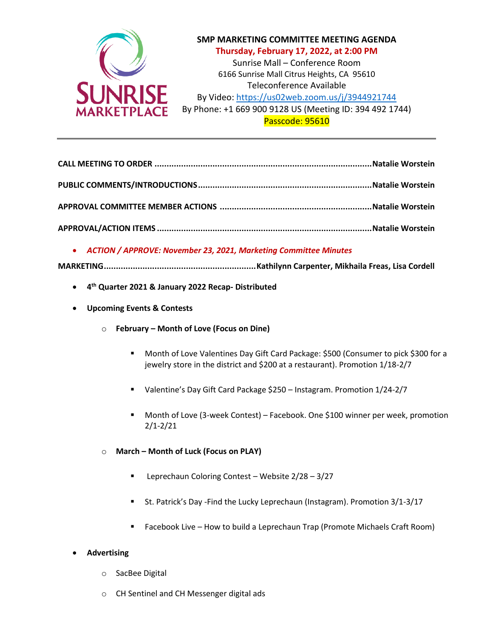

## **SMP MARKETING COMMITTEE MEETING AGENDA Thursday, February 17, 2022, at 2:00 PM**

Sunrise Mall – Conference Room 6166 Sunrise Mall Citrus Heights, CA 95610 Teleconference Available By Video: <https://us02web.zoom.us/j/3944921744>

By Phone: +1 669 900 9128 US (Meeting ID: 394 492 1744) Passcode: 95610

**CALL MEETING TO ORDER ..........................................................................................Natalie Worstein PUBLIC COMMENTS/INTRODUCTIONS........................................................................Natalie Worstein APPROVAL COMMITTEE MEMBER ACTIONS ...............................................................Natalie Worstein APPROVAL/ACTION ITEMS .........................................................................................Natalie Worstein**

• *ACTION / APPROVE: November 23, 2021, Marketing Committee Minutes*

**MARKETING...............................................................Kathilynn Carpenter, Mikhaila Freas, Lisa Cordell**

- **4 th Quarter 2021 & January 2022 Recap- Distributed**
- **Upcoming Events & Contests** 
	- o **February – Month of Love (Focus on Dine)**
		- Month of Love Valentines Day Gift Card Package: \$500 (Consumer to pick \$300 for a jewelry store in the district and \$200 at a restaurant). Promotion 1/18-2/7
		- Valentine's Day Gift Card Package \$250 Instagram. Promotion 1/24-2/7
		- Month of Love (3-week Contest) Facebook. One \$100 winner per week, promotion 2/1-2/21
	- o **March – Month of Luck (Focus on PLAY)**
		- Leprechaun Coloring Contest Website 2/28 3/27
		- St. Patrick's Day Find the Lucky Leprechaun (Instagram). Promotion 3/1-3/17
		- Facebook Live How to build a Leprechaun Trap (Promote Michaels Craft Room)

## • **Advertising**

- o SacBee Digital
- o CH Sentinel and CH Messenger digital ads